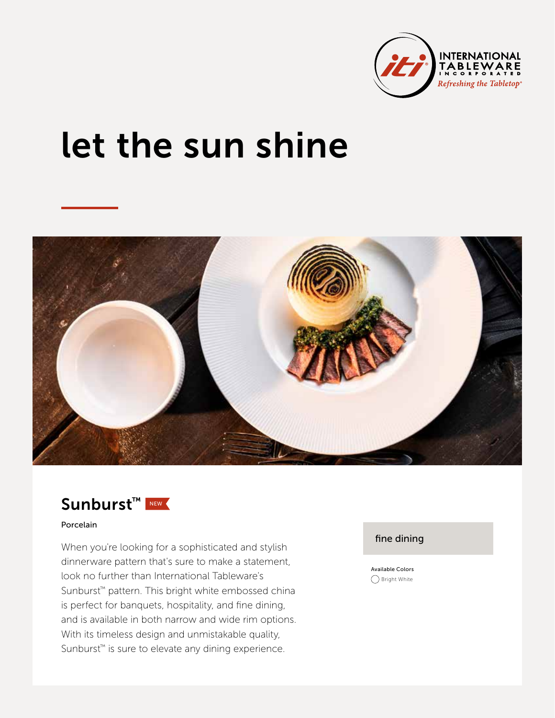

# let the sun shine





#### Porcelain

When you're looking for a sophisticated and stylish dinnerware pattern that's sure to make a statement, look no further than International Tableware's Sunburst™ pattern. This bright white embossed china is perfect for banquets, hospitality, and fine dining, and is available in both narrow and wide rim options. With its timeless design and unmistakable quality, Sunburst<sup>™</sup> is sure to elevate any dining experience.

#### fine dining

Available Colors ◯ Bright White